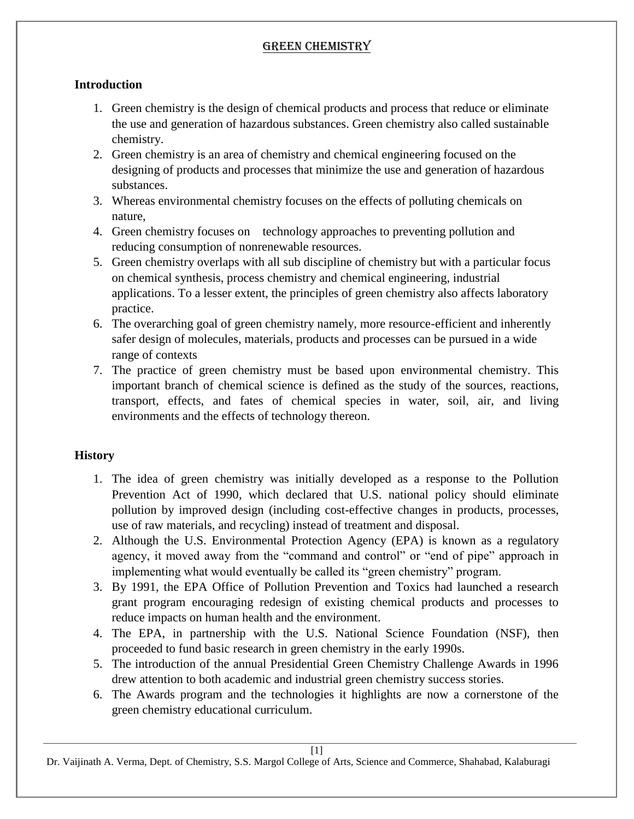### **Introduction**

- 1. Green chemistry is the design of chemical products and process that reduce or eliminate the use and generation of hazardous substances. Green chemistry also called sustainable chemistry.
- 2. Green chemistry is an area of chemistry and chemical engineering focused on the designing of products and processes that minimize the use and generation of hazardous substances.
- 3. Whereas environmental chemistry focuses on the effects of polluting chemicals on nature,
- 4. Green chemistry focuses on technology approaches to preventing pollution and reducing consumption of nonrenewable resources.
- 5. Green chemistry overlaps with all sub discipline of chemistry but with a particular focus on chemical synthesis, process chemistry and chemical engineering, industrial applications. To a lesser extent, the principles of green chemistry also affects laboratory practice.
- 6. The overarching goal of green chemistry namely, more resource-efficient and inherently safer design of molecules, materials, products and processes can be pursued in a wide range of contexts
- 7. The practice of green chemistry must be based upon environmental chemistry. This important branch of chemical science is defined as the study of the sources, reactions, transport, effects, and fates of chemical species in water, soil, air, and living environments and the effects of technology thereon.

### **History**

- 1. The idea of green chemistry was initially developed as a response to the Pollution Prevention Act of 1990, which declared that U.S. national policy should eliminate pollution by improved design (including cost-effective changes in products, processes, use of raw materials, and recycling) instead of treatment and disposal.
- 2. Although the U.S. Environmental Protection Agency (EPA) is known as a regulatory agency, it moved away from the "command and control" or "end of pipe" approach in implementing what would eventually be called its "green chemistry" program.
- 3. By 1991, the EPA Office of Pollution Prevention and Toxics had launched a research grant program encouraging redesign of existing chemical products and processes to reduce impacts on human health and the environment.
- 4. The EPA, in partnership with the U.S. National Science Foundation (NSF), then proceeded to fund basic research in green chemistry in the early 1990s.
- 5. The introduction of the annual Presidential Green Chemistry Challenge Awards in 1996 drew attention to both academic and industrial green chemistry success stories.
- 6. The Awards program and the technologies it highlights are now a cornerstone of the green chemistry educational curriculum.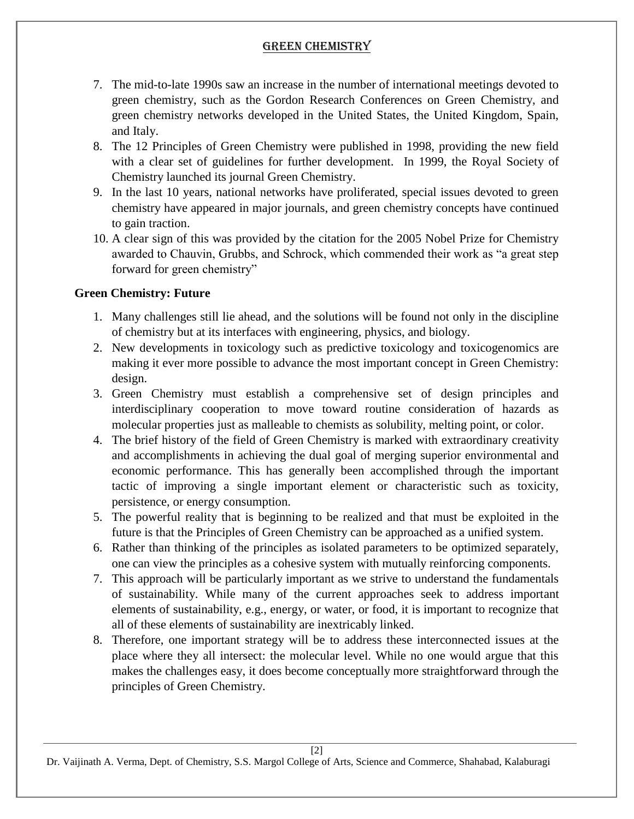- 7. The mid-to-late 1990s saw an increase in the number of international meetings devoted to green chemistry, such as the Gordon Research Conferences on Green Chemistry, and green chemistry networks developed in the United States, the United Kingdom, Spain, and Italy.
- 8. The 12 Principles of Green Chemistry were published in 1998, providing the new field with a clear set of guidelines for further development. In 1999, the Royal Society of Chemistry launched its journal Green Chemistry.
- 9. In the last 10 years, national networks have proliferated, special issues devoted to green chemistry have appeared in major journals, and green chemistry concepts have continued to gain traction.
- 10. A clear sign of this was provided by the citation for the 2005 Nobel Prize for Chemistry awarded to Chauvin, Grubbs, and Schrock, which commended their work as "a great step forward for green chemistry"

### **Green Chemistry: Future**

- 1. Many challenges still lie ahead, and the solutions will be found not only in the discipline of chemistry but at its interfaces with engineering, physics, and biology.
- 2. New developments in toxicology such as predictive toxicology and toxicogenomics are making it ever more possible to advance the most important concept in Green Chemistry: design.
- 3. Green Chemistry must establish a comprehensive set of design principles and interdisciplinary cooperation to move toward routine consideration of hazards as molecular properties just as malleable to chemists as solubility, melting point, or color.
- 4. The brief history of the field of Green Chemistry is marked with extraordinary creativity and accomplishments in achieving the dual goal of merging superior environmental and economic performance. This has generally been accomplished through the important tactic of improving a single important element or characteristic such as toxicity, persistence, or energy consumption.
- 5. The powerful reality that is beginning to be realized and that must be exploited in the future is that the Principles of Green Chemistry can be approached as a unified system.
- 6. Rather than thinking of the principles as isolated parameters to be optimized separately, one can view the principles as a cohesive system with mutually reinforcing components.
- 7. This approach will be particularly important as we strive to understand the fundamentals of sustainability. While many of the current approaches seek to address important elements of sustainability, e.g., energy, or water, or food, it is important to recognize that all of these elements of sustainability are inextricably linked.
- 8. Therefore, one important strategy will be to address these interconnected issues at the place where they all intersect: the molecular level. While no one would argue that this makes the challenges easy, it does become conceptually more straightforward through the principles of Green Chemistry.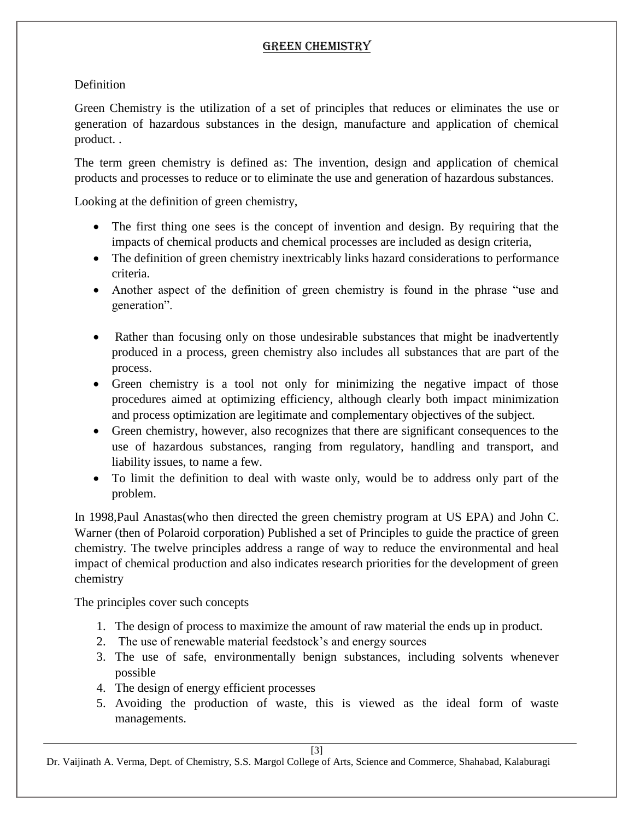### **Definition**

Green Chemistry is the utilization of a set of principles that reduces or eliminates the use or generation of hazardous substances in the design, manufacture and application of chemical product. .

The term green chemistry is defined as: The invention, design and application of chemical products and processes to reduce or to eliminate the use and generation of hazardous substances.

Looking at the definition of green chemistry,

- The first thing one sees is the concept of invention and design. By requiring that the impacts of chemical products and chemical processes are included as design criteria,
- The definition of green chemistry inextricably links hazard considerations to performance criteria.
- Another aspect of the definition of green chemistry is found in the phrase "use and generation".
- Rather than focusing only on those undesirable substances that might be inadvertently produced in a process, green chemistry also includes all substances that are part of the process.
- Green chemistry is a tool not only for minimizing the negative impact of those procedures aimed at optimizing efficiency, although clearly both impact minimization and process optimization are legitimate and complementary objectives of the subject.
- Green chemistry, however, also recognizes that there are significant consequences to the use of hazardous substances, ranging from regulatory, handling and transport, and liability issues, to name a few.
- To limit the definition to deal with waste only, would be to address only part of the problem.

In 1998,Paul Anastas(who then directed the green chemistry program at US EPA) and John C. Warner (then of Polaroid corporation) Published a set of Principles to guide the practice of green chemistry. The twelve principles address a range of way to reduce the environmental and heal impact of chemical production and also indicates research priorities for the development of green chemistry

The principles cover such concepts

- 1. The design of process to maximize the amount of raw material the ends up in product.
- 2. The use of renewable material feedstock's and energy sources
- 3. The use of safe, environmentally benign substances, including solvents whenever possible
- 4. The design of energy efficient processes
- 5. Avoiding the production of waste, this is viewed as the ideal form of waste managements.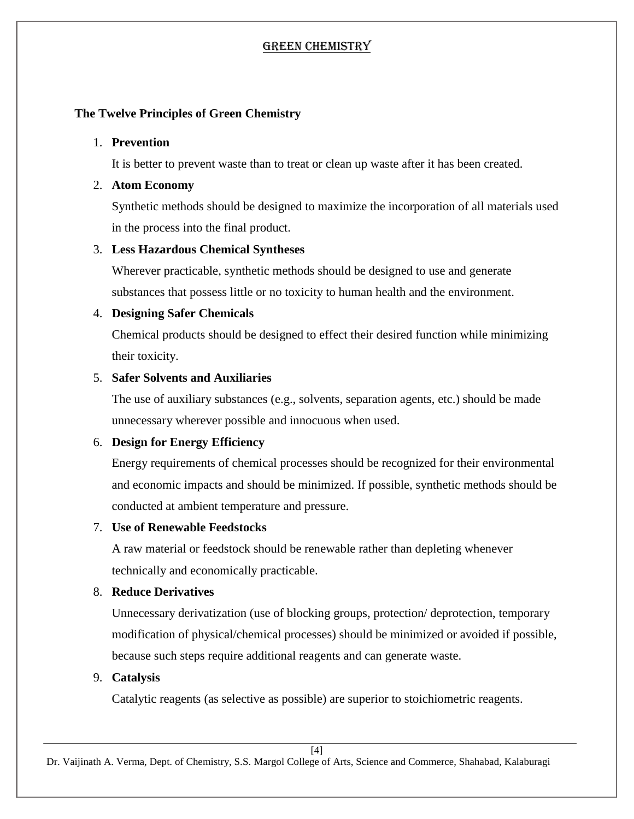### **The Twelve Principles of Green Chemistry**

#### 1. **Prevention**

It is better to prevent waste than to treat or clean up waste after it has been created.

#### 2. **Atom Economy**

Synthetic methods should be designed to maximize the incorporation of all materials used in the process into the final product.

### 3. **Less Hazardous Chemical Syntheses**

Wherever practicable, synthetic methods should be designed to use and generate substances that possess little or no toxicity to human health and the environment.

### 4. **Designing Safer Chemicals**

Chemical products should be designed to effect their desired function while minimizing their toxicity.

## 5. **Safer Solvents and Auxiliaries**

The use of auxiliary substances (e.g., solvents, separation agents, etc.) should be made unnecessary wherever possible and innocuous when used.

# 6. **Design for Energy Efficiency**

Energy requirements of chemical processes should be recognized for their environmental and economic impacts and should be minimized. If possible, synthetic methods should be conducted at ambient temperature and pressure.

### 7. **Use of Renewable Feedstocks**

A raw material or feedstock should be renewable rather than depleting whenever technically and economically practicable.

### 8. **Reduce Derivatives**

Unnecessary derivatization (use of blocking groups, protection/ deprotection, temporary modification of physical/chemical processes) should be minimized or avoided if possible, because such steps require additional reagents and can generate waste.

### 9. **Catalysis**

Catalytic reagents (as selective as possible) are superior to stoichiometric reagents.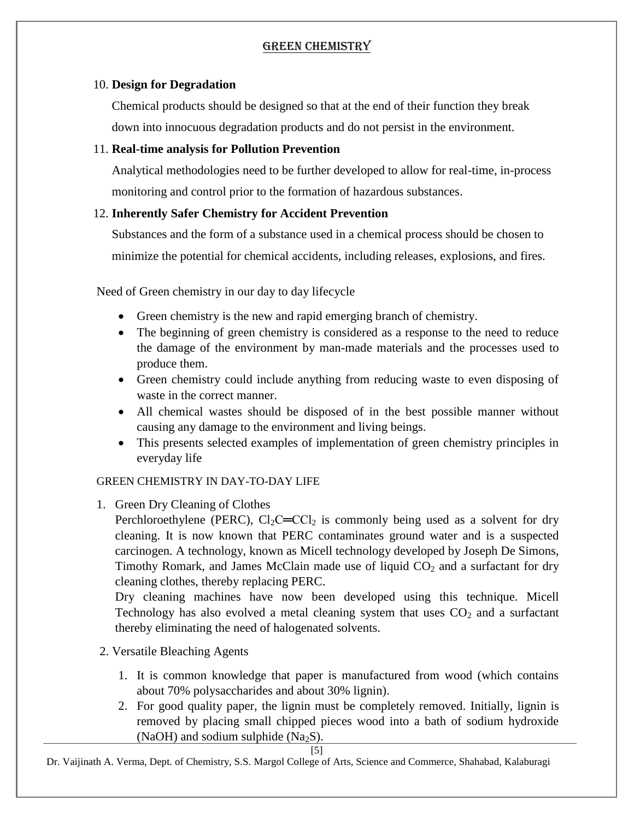#### 10. **Design for Degradation**

Chemical products should be designed so that at the end of their function they break down into innocuous degradation products and do not persist in the environment.

#### 11. **Real-time analysis for Pollution Prevention**

Analytical methodologies need to be further developed to allow for real-time, in-process monitoring and control prior to the formation of hazardous substances.

#### 12. **Inherently Safer Chemistry for Accident Prevention**

Substances and the form of a substance used in a chemical process should be chosen to minimize the potential for chemical accidents, including releases, explosions, and fires.

Need of Green chemistry in our day to day lifecycle

- Green chemistry is the new and rapid emerging branch of chemistry.
- The beginning of green chemistry is considered as a response to the need to reduce the damage of the environment by man-made materials and the processes used to produce them.
- Green chemistry could include anything from reducing waste to even disposing of waste in the correct manner.
- All chemical wastes should be disposed of in the best possible manner without causing any damage to the environment and living beings.
- This presents selected examples of implementation of green chemistry principles in everyday life

### GREEN CHEMISTRY IN DAY-TO-DAY LIFE

1. Green Dry Cleaning of Clothes

Perchloroethylene (PERC),  $Cl_2C=Cl_2$  is commonly being used as a solvent for dry cleaning. It is now known that PERC contaminates ground water and is a suspected carcinogen. A technology, known as Micell technology developed by Joseph De Simons, Timothy Romark, and James McClain made use of liquid  $CO<sub>2</sub>$  and a surfactant for dry cleaning clothes, thereby replacing PERC.

Dry cleaning machines have now been developed using this technique. Micell Technology has also evolved a metal cleaning system that uses  $CO<sub>2</sub>$  and a surfactant thereby eliminating the need of halogenated solvents.

- 2. Versatile Bleaching Agents
	- 1. It is common knowledge that paper is manufactured from wood (which contains about 70% polysaccharides and about 30% lignin).
	- 2. For good quality paper, the lignin must be completely removed. Initially, lignin is removed by placing small chipped pieces wood into a bath of sodium hydroxide (NaOH) and sodium sulphide (Na<sub>2</sub>S).

[5]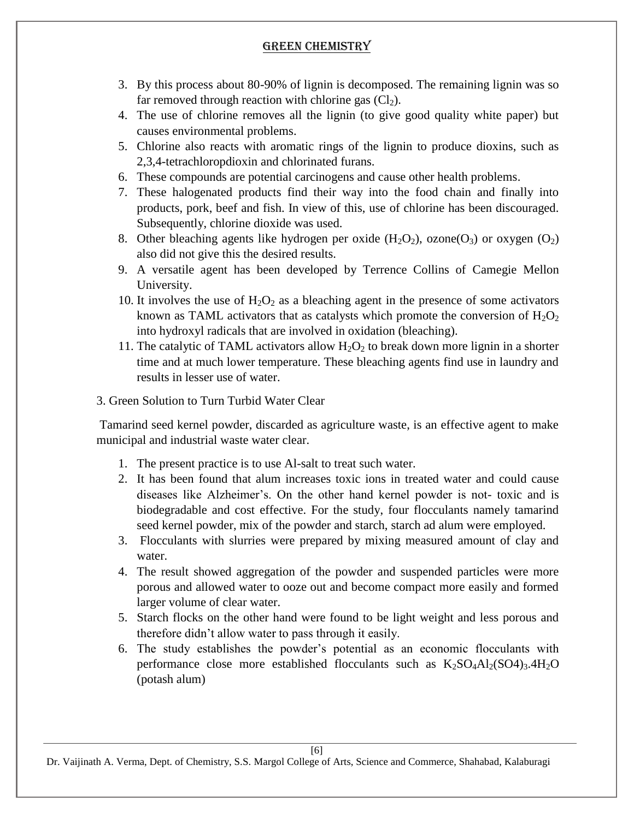- 3. By this process about 80-90% of lignin is decomposed. The remaining lignin was so far removed through reaction with chlorine gas  $(Cl<sub>2</sub>)$ .
- 4. The use of chlorine removes all the lignin (to give good quality white paper) but causes environmental problems.
- 5. Chlorine also reacts with aromatic rings of the lignin to produce dioxins, such as 2,3,4-tetrachloropdioxin and chlorinated furans.
- 6. These compounds are potential carcinogens and cause other health problems.
- 7. These halogenated products find their way into the food chain and finally into products, pork, beef and fish. In view of this, use of chlorine has been discouraged. Subsequently, chlorine dioxide was used.
- 8. Other bleaching agents like hydrogen per oxide  $(H_2O_2)$ , ozone $(O_3)$  or oxygen  $(O_2)$ also did not give this the desired results.
- 9. A versatile agent has been developed by Terrence Collins of Camegie Mellon University.
- 10. It involves the use of  $H_2O_2$  as a bleaching agent in the presence of some activators known as TAML activators that as catalysts which promote the conversion of  $H_2O_2$ into hydroxyl radicals that are involved in oxidation (bleaching).
- 11. The catalytic of TAML activators allow  $H_2O_2$  to break down more lignin in a shorter time and at much lower temperature. These bleaching agents find use in laundry and results in lesser use of water.
- 3. Green Solution to Turn Turbid Water Clear

Tamarind seed kernel powder, discarded as agriculture waste, is an effective agent to make municipal and industrial waste water clear.

- 1. The present practice is to use Al-salt to treat such water.
- 2. It has been found that alum increases toxic ions in treated water and could cause diseases like Alzheimer's. On the other hand kernel powder is not- toxic and is biodegradable and cost effective. For the study, four flocculants namely tamarind seed kernel powder, mix of the powder and starch, starch ad alum were employed.
- 3. Flocculants with slurries were prepared by mixing measured amount of clay and water.
- 4. The result showed aggregation of the powder and suspended particles were more porous and allowed water to ooze out and become compact more easily and formed larger volume of clear water.
- 5. Starch flocks on the other hand were found to be light weight and less porous and therefore didn't allow water to pass through it easily.
- 6. The study establishes the powder's potential as an economic flocculants with performance close more established flocculants such as  $K_2SO_4Al_2(SO4)_3.4H_2O$ (potash alum)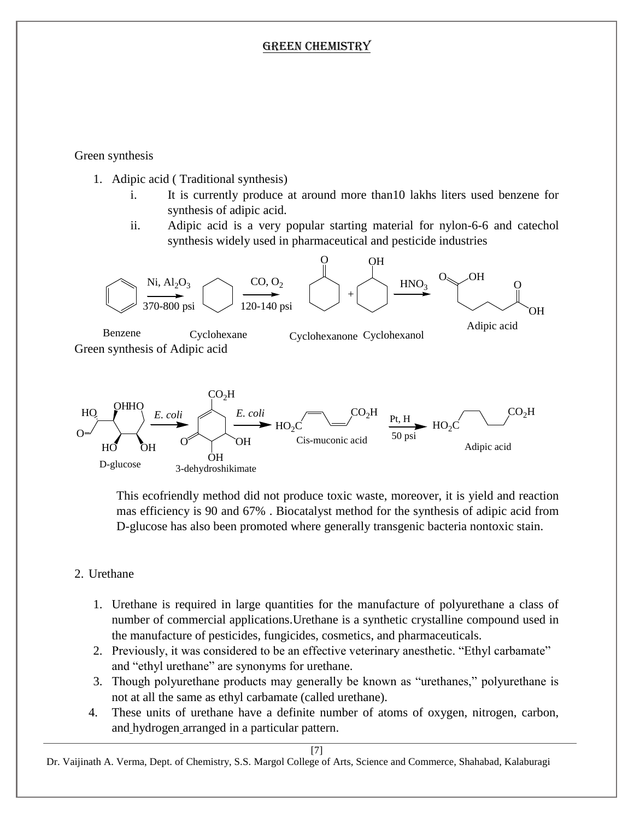Green synthesis

- 1. Adipic acid ( Traditional synthesis)
	- i. It is currently produce at around more than10 lakhs liters used benzene for synthesis of adipic acid.
	- ii. Adipic acid is a very popular starting material for nylon-6-6 and catechol synthesis widely used in pharmaceutical and pesticide industries



This ecofriendly method did not produce toxic waste, moreover, it is yield and reaction mas efficiency is 90 and 67% . Biocatalyst method for the synthesis of adipic acid from D-glucose has also been promoted where generally transgenic bacteria nontoxic stain.

#### 2. Urethane

- 1. Urethane is required in large quantities for the manufacture of polyurethane a class of number of commercial applications.Urethane is a synthetic crystalline compound used in the manufacture of pesticides, fungicides, cosmetics, and pharmaceuticals.
- 2. Previously, it was considered to be an effective veterinary anesthetic. "Ethyl carbamate" and "ethyl urethane" are synonyms for urethane.
- 3. Though polyurethane products may generally be known as "urethanes," polyurethane is not at all the same as ethyl carbamate (called urethane).
- 4. These units of urethane have a definite number of atoms of oxygen, nitrogen, carbon, and [hydrogen](http://www.differencebetween.net/science/chemistry-science/difference-between-hydrogen-peroxide-and-rubbing-alcohol/) arranged in a particular pattern.

[7]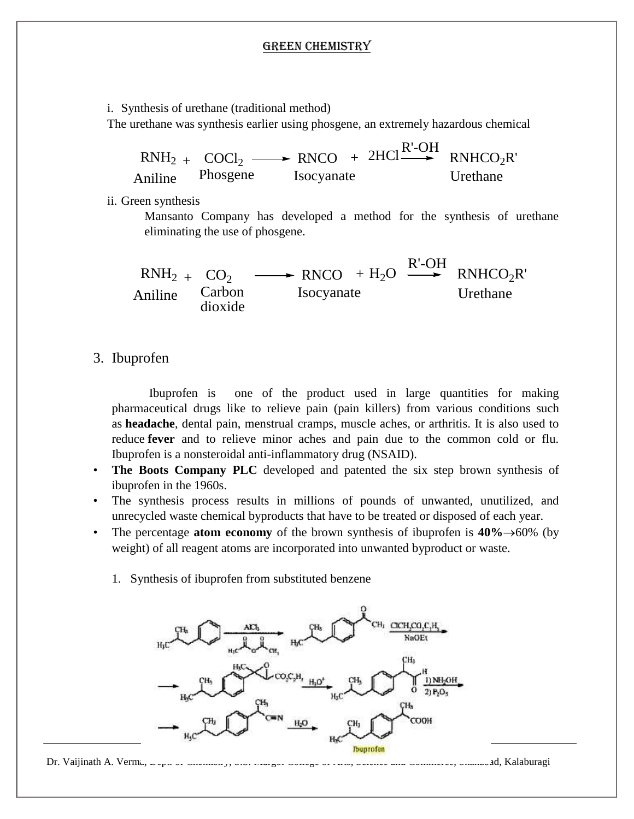i. Synthesis of urethane (traditional method) The urethane was synthesis earlier using phosgene, an extremely hazardous chemical

|                  | $RNH_{2}$ + COCl <sub>2</sub> $\longrightarrow$ RNCO + 2HCl <sup>R'-OH</sup> RNHCO <sub>2</sub> R' |          |
|------------------|----------------------------------------------------------------------------------------------------|----------|
| Aniline Phosgene | Isocyanate                                                                                         | Urethane |

ii. Green synthesis

Mansanto Company has developed a method for the synthesis of urethane eliminating the use of phosgene.

Aniline  $RNH_2 + CO_2 \longrightarrow RNCO + H_2O$ R'-OH  $RNHCO<sub>2</sub>R'$ Carbon dioxide Isocyanate Urethane

#### 3. Ibuprofen

Ibuprofen is one of the product used in large quantities for making pharmaceutical drugs like to relieve pain (pain killers) from various conditions such as **headache**, dental pain, menstrual cramps, muscle aches, or arthritis. It is also used to reduce **fever** and to relieve minor aches and pain due to the common cold or flu. Ibuprofen is a nonsteroidal anti-inflammatory drug (NSAID).

- **The Boots Company PLC** developed and patented the six step brown synthesis of ibuprofen in the 1960s.
- The synthesis process results in millions of pounds of unwanted, unutilized, and unrecycled waste chemical byproducts that have to be treated or disposed of each year.
- The percentage **atom economy** of the brown synthesis of ibuprofen is  $40\% \rightarrow 60\%$  (by weight) of all reagent atoms are incorporated into unwanted byproduct or waste.
	- 1. Synthesis of ibuprofen from substituted benzene